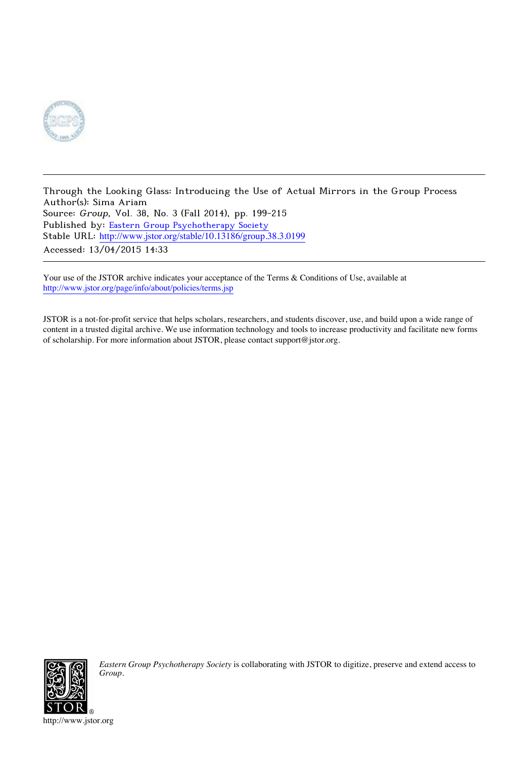

Through the [Looking Glass: Introducing the Use](http://www.jstor.org/action/showPublisher?publisherCode=egps) of Actual Mirrors in the Group Process Author(s): S[ima Ariam](http://www.jstor.org/stable/10.13186/group.38.3.0199?origin=JSTOR-pdf) Source: Group, Vol. 38, No. 3 (Fall 2014), pp. 199-215 Published by: Eastern Group Psychotherapy Society Stable URL: http://www.jstor.org/stable/10.13186/group.38.3.0199 [Accessed: 13/04/2015 14:33](http://www.jstor.org/page/info/about/policies/terms.jsp)

Your use of the JSTOR archive indicates your acceptance of the Terms & Conditions of Use, available at http://www.jstor.org/page/info/about/policies/terms.jsp

JSTOR is a not-for-profit service that helps scholars, researchers, and students discover, use, and build upon a wide range of content in a trusted digital archive. We use information technology and tools to increase productivity and facilitate new forms of scholarship. For more information about JSTOR, please contact support@jstor.org.



*Eastern Group Psychotherapy Society* is collaborating with JSTOR to digitize, preserve and extend access to *Group.*

http://www.jstor.org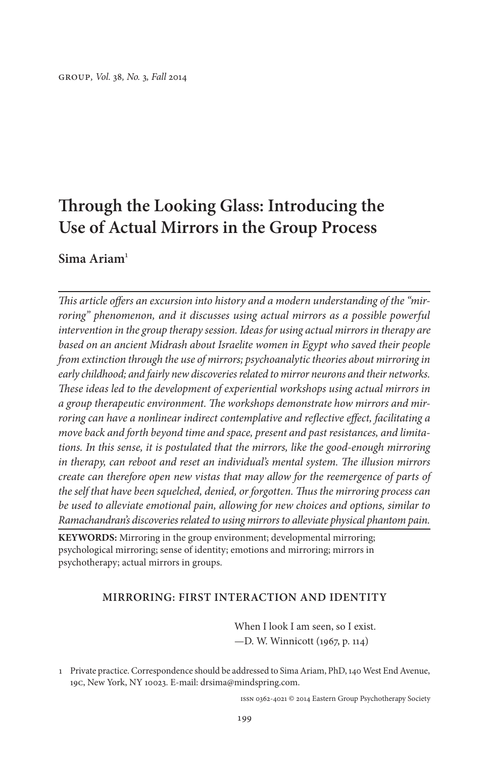# **Trough the Looking Glass: Introducing the Use of Actual Mirrors in the Group Process**

# **Sima Ariam**<sup>1</sup>

T*is article o*f*ers an excursion into history and a modern understanding of the "mirroring" phenomenon, and it discusses using actual mirrors as a possible powerful intervention in the group therapy session. Ideas for using actual mirrors in therapy are based on an ancient Midrash about Israelite women in Egypt who saved their people from extinction through the use of mirrors; psychoanalytic theories about mirroring in early childhood; and fairly new discoveries related to mirror neurons and their networks.*  T*ese ideas led to the development of experiential workshops using actual mirrors in*  a group therapeutic environment. The workshops demonstrate how mirrors and mir*roring can have a nonlinear indirect contemplative and re*f*ective e*f*ect, facilitating a move back and forth beyond time and space, present and past resistances, and limitations. In this sense, it is postulated that the mirrors, like the good-enough mirroring*  in therapy, can reboot and reset an individual's mental system. The illusion mirrors *create can therefore open new vistas that may allow for the reemergence of parts of the self that have been squelched, denied, or forgotten.* T*us the mirroring process can be used to alleviate emotional pain, allowing for new choices and options, similar to Ramachandran's discoveries related to using mirrors to alleviate physical phantom pain.*

**KEYWORDS:** Mirroring in the group environment; developmental mirroring; psychological mirroring; sense of identity; emotions and mirroring; mirrors in psychotherapy; actual mirrors in groups.

## **MIRRORING: FIRST INTERACTION AND IDENTITY**

When I look I am seen, so I exist. —D. W. Winnicott (1967, p. 114)

1 Private practice. Correspondence should be addressed to Sima Ariam, PhD, 140 West End Avenue, 19c, New York, NY 10023. E-mail: drsima@mindspring.com.

issn 0362-4021 © 2014 Eastern Group Psychotherapy Society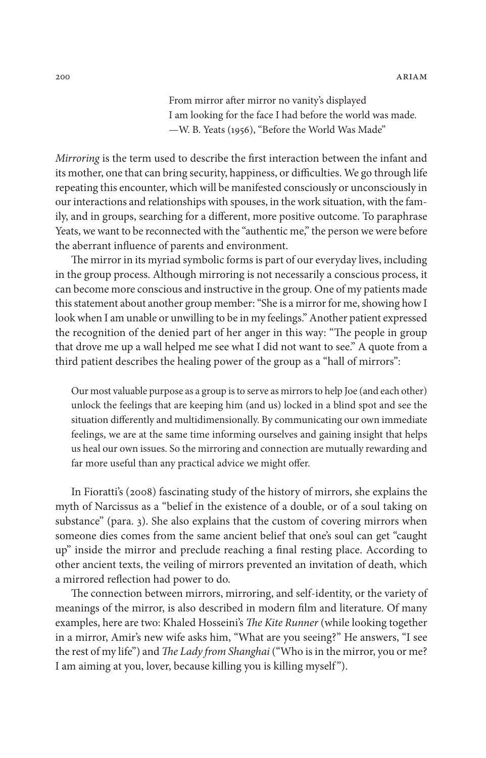From mirror afer mirror no vanity's displayed I am looking for the face I had before the world was made. —W. B. Yeats (1956), "Before the World Was Made"

*Mirroring* is the term used to describe the frst interaction between the infant and its mother, one that can bring security, happiness, or difficulties. We go through life repeating this encounter, which will be manifested consciously or unconsciously in our interactions and relationships with spouses, in the work situation, with the family, and in groups, searching for a diferent, more positive outcome. To paraphrase Yeats, we want to be reconnected with the "authentic me," the person we were before the aberrant infuence of parents and environment.

The mirror in its myriad symbolic forms is part of our everyday lives, including in the group process. Although mirroring is not necessarily a conscious process, it can become more conscious and instructive in the group. One of my patients made this statement about another group member: "She is a mirror for me, showing how I look when I am unable or unwilling to be in my feelings." Another patient expressed the recognition of the denied part of her anger in this way: "The people in group that drove me up a wall helped me see what I did not want to see." A quote from a third patient describes the healing power of the group as a "hall of mirrors":

Our most valuable purpose as a group is to serve as mirrors to help Joe (and each other) unlock the feelings that are keeping him (and us) locked in a blind spot and see the situation diferently and multidimensionally. By communicating our own immediate feelings, we are at the same time informing ourselves and gaining insight that helps us heal our own issues. So the mirroring and connection are mutually rewarding and far more useful than any practical advice we might offer.

In Fioratti's (2008) fascinating study of the history of mirrors, she explains the myth of Narcissus as a "belief in the existence of a double, or of a soul taking on substance" (para. 3). She also explains that the custom of covering mirrors when someone dies comes from the same ancient belief that one's soul can get "caught up" inside the mirror and preclude reaching a fnal resting place. According to other ancient texts, the veiling of mirrors prevented an invitation of death, which a mirrored refection had power to do.

The connection between mirrors, mirroring, and self-identity, or the variety of meanings of the mirror, is also described in modern flm and literature. Of many examples, here are two: Khaled Hosseini's *The Kite Runner* (while looking together in a mirror, Amir's new wife asks him, "What are you seeing?" He answers, "I see the rest of my life") and *The Lady from Shanghai* ("Who is in the mirror, you or me? I am aiming at you, lover, because killing you is killing myself ").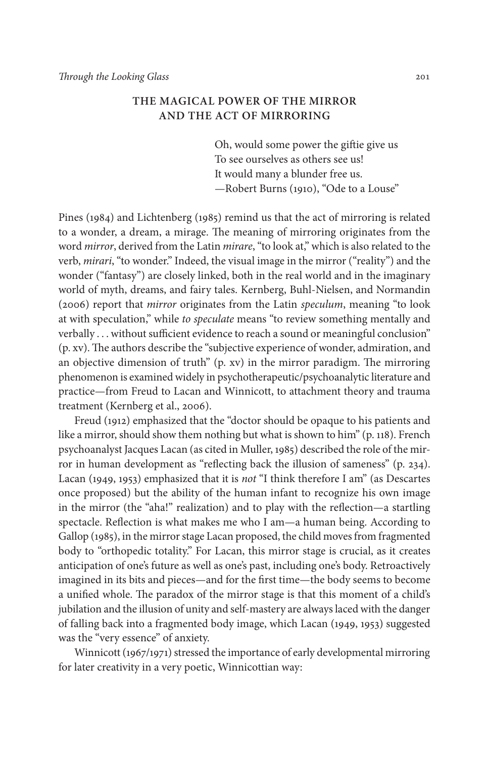## **THE MAGICAL POWER OF THE MIRROR AND THE ACT OF MIRRORING**

Oh, would some power the gifie give us To see ourselves as others see us! It would many a blunder free us. —Robert Burns (1910), "Ode to a Louse"

Pines (1984) and Lichtenberg (1985) remind us that the act of mirroring is related to a wonder, a dream, a mirage. The meaning of mirroring originates from the word *mirror*, derived from the Latin *mirare*, "to look at," which is also related to the verb, *mirari*, "to wonder." Indeed, the visual image in the mirror ("reality") and the wonder ("fantasy") are closely linked, both in the real world and in the imaginary world of myth, dreams, and fairy tales. Kernberg, Buhl-Nielsen, and Normandin (2006) report that *mirror* originates from the Latin *speculum*, meaning "to look at with speculation," while *to speculate* means "to review something mentally and verbally . . . without sufficient evidence to reach a sound or meaningful conclusion" (p. xv). The authors describe the "subjective experience of wonder, admiration, and an objective dimension of truth"  $(p, xv)$  in the mirror paradigm. The mirroring phenomenon is examined widely in psychotherapeutic/psychoanalytic literature and practice—from Freud to Lacan and Winnicott, to attachment theory and trauma treatment (Kernberg et al., 2006).

Freud (1912) emphasized that the "doctor should be opaque to his patients and like a mirror, should show them nothing but what is shown to him" (p. 118). French psychoanalyst Jacques Lacan (as cited in Muller, 1985) described the role of the mirror in human development as "refecting back the illusion of sameness" (p. 234). Lacan (1949, 1953) emphasized that it is *not* "I think therefore I am" (as Descartes once proposed) but the ability of the human infant to recognize his own image in the mirror (the "aha!" realization) and to play with the refection—a startling spectacle. Refection is what makes me who I am—a human being. According to Gallop (1985), in the mirror stage Lacan proposed, the child moves from fragmented body to "orthopedic totality." For Lacan, this mirror stage is crucial, as it creates anticipation of one's future as well as one's past, including one's body. Retroactively imagined in its bits and pieces—and for the frst time—the body seems to become a unified whole. The paradox of the mirror stage is that this moment of a child's jubilation and the illusion of unity and self-mastery are always laced with the danger of falling back into a fragmented body image, which Lacan (1949, 1953) suggested was the "very essence" of anxiety.

Winnicott (1967/1971) stressed the importance of early developmental mirroring for later creativity in a very poetic, Winnicottian way: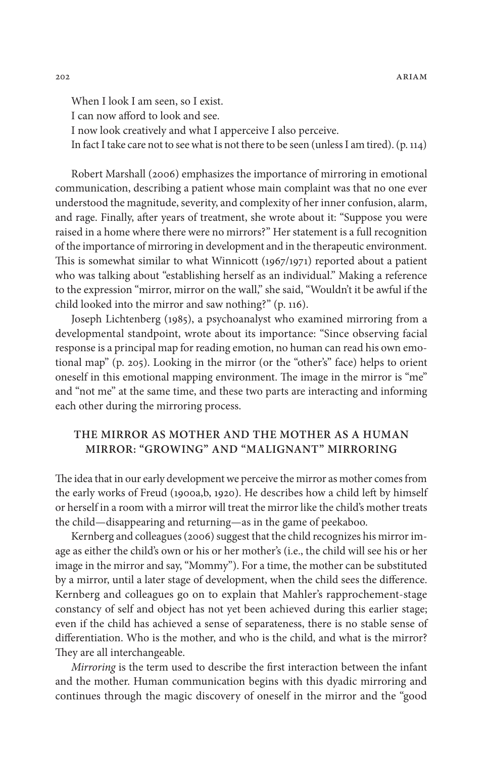When I look I am seen, so I exist. I can now aford to look and see. I now look creatively and what I apperceive I also perceive. In fact I take care not to see what is not there to be seen (unless I am tired). (p. 114)

Robert Marshall (2006) emphasizes the importance of mirroring in emotional communication, describing a patient whose main complaint was that no one ever understood the magnitude, severity, and complexity of her inner confusion, alarm, and rage. Finally, after years of treatment, she wrote about it: "Suppose you were raised in a home where there were no mirrors?" Her statement is a full recognition of the importance of mirroring in development and in the therapeutic environment. This is somewhat similar to what Winnicott  $(1967/1971)$  reported about a patient who was talking about "establishing herself as an individual." Making a reference to the expression "mirror, mirror on the wall," she said, "Wouldn't it be awful if the child looked into the mirror and saw nothing?" (p. 116).

Joseph Lichtenberg (1985), a psychoanalyst who examined mirroring from a developmental standpoint, wrote about its importance: "Since observing facial response is a principal map for reading emotion, no human can read his own emotional map" (p. 205). Looking in the mirror (or the "other's" face) helps to orient oneself in this emotional mapping environment. The image in the mirror is "me" and "not me" at the same time, and these two parts are interacting and informing each other during the mirroring process.

## **THE MIRROR AS MOTHER AND THE MOTHER AS A HUMAN MIRROR: "GROWING" AND "MALIGNANT" MIRRORING**

The idea that in our early development we perceive the mirror as mother comes from the early works of Freud (1900a,b, 1920). He describes how a child left by himself or herself in a room with a mirror will treat the mirror like the child's mother treats the child—disappearing and returning—as in the game of peekaboo.

Kernberg and colleagues (2006) suggest that the child recognizes his mirror image as either the child's own or his or her mother's (i.e., the child will see his or her image in the mirror and say, "Mommy"). For a time, the mother can be substituted by a mirror, until a later stage of development, when the child sees the diference. Kernberg and colleagues go on to explain that Mahler's rapprochement-stage constancy of self and object has not yet been achieved during this earlier stage; even if the child has achieved a sense of separateness, there is no stable sense of diferentiation. Who is the mother, and who is the child, and what is the mirror? They are all interchangeable.

*Mirroring* is the term used to describe the frst interaction between the infant and the mother. Human communication begins with this dyadic mirroring and continues through the magic discovery of oneself in the mirror and the "good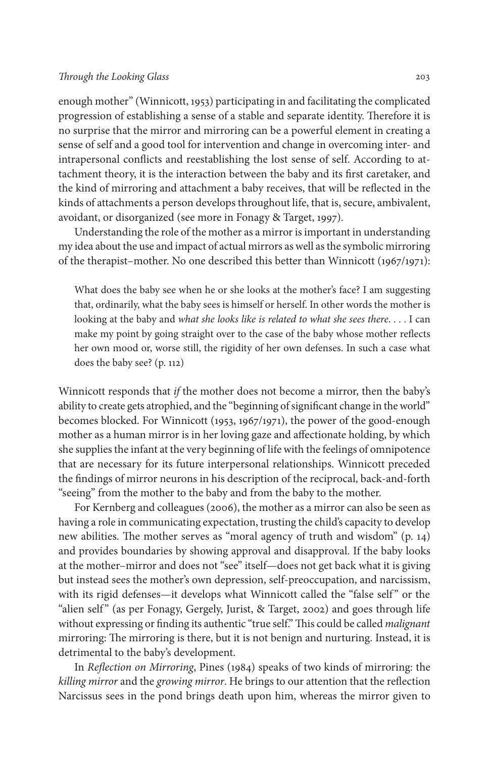#### T*rough the Looking Glass* 203

enough mother" (Winnicott, 1953) participating in and facilitating the complicated progression of establishing a sense of a stable and separate identity. Therefore it is no surprise that the mirror and mirroring can be a powerful element in creating a sense of self and a good tool for intervention and change in overcoming inter- and intrapersonal conficts and reestablishing the lost sense of self. According to attachment theory, it is the interaction between the baby and its frst caretaker, and the kind of mirroring and attachment a baby receives, that will be refected in the kinds of attachments a person develops throughout life, that is, secure, ambivalent, avoidant, or disorganized (see more in Fonagy & Target, 1997).

Understanding the role of the mother as a mirror is important in understanding my idea about the use and impact of actual mirrors as well as the symbolic mirroring of the therapist–mother. No one described this better than Winnicott (1967/1971):

What does the baby see when he or she looks at the mother's face? I am suggesting that, ordinarily, what the baby sees is himself or herself. In other words the mother is looking at the baby and *what she looks like is related to what she sees there*. . . . I can make my point by going straight over to the case of the baby whose mother refects her own mood or, worse still, the rigidity of her own defenses. In such a case what does the baby see? (p. 112)

Winnicott responds that *if* the mother does not become a mirror, then the baby's ability to create gets atrophied, and the "beginning of signifcant change in the world" becomes blocked. For Winnicott (1953, 1967/1971), the power of the good-enough mother as a human mirror is in her loving gaze and afectionate holding, by which she supplies the infant at the very beginning of life with the feelings of omnipotence that are necessary for its future interpersonal relationships. Winnicott preceded the fndings of mirror neurons in his description of the reciprocal, back-and-forth "seeing" from the mother to the baby and from the baby to the mother.

For Kernberg and colleagues (2006), the mother as a mirror can also be seen as having a role in communicating expectation, trusting the child's capacity to develop new abilities. The mother serves as "moral agency of truth and wisdom" (p. 14) and provides boundaries by showing approval and disapproval. If the baby looks at the mother–mirror and does not "see" itself—does not get back what it is giving but instead sees the mother's own depression, self-preoccupation, and narcissism, with its rigid defenses—it develops what Winnicott called the "false self" or the "alien self" (as per Fonagy, Gergely, Jurist, & Target, 2002) and goes through life without expressing or finding its authentic "true self." This could be called *malignant* mirroring: The mirroring is there, but it is not benign and nurturing. Instead, it is detrimental to the baby's development.

In *Re*f*ection on Mirroring*, Pines (1984) speaks of two kinds of mirroring: the *killing mirror* and the *growing mirror*. He brings to our attention that the refection Narcissus sees in the pond brings death upon him, whereas the mirror given to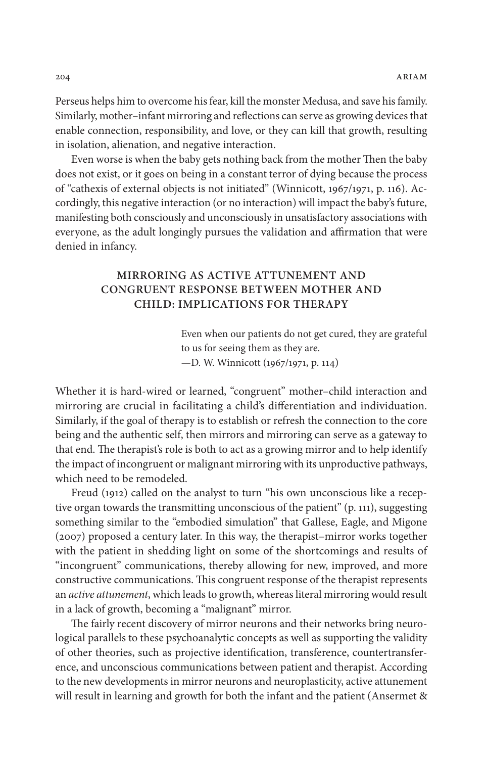Perseus helps him to overcome his fear, kill the monster Medusa, and save his family. Similarly, mother–infant mirroring and refections can serve as growing devices that enable connection, responsibility, and love, or they can kill that growth, resulting in isolation, alienation, and negative interaction.

Even worse is when the baby gets nothing back from the mother Then the baby does not exist, or it goes on being in a constant terror of dying because the process of "cathexis of external objects is not initiated" (Winnicott, 1967/1971, p. 116). Accordingly, this negative interaction (or no interaction) will impact the baby's future, manifesting both consciously and unconsciously in unsatisfactory associations with everyone, as the adult longingly pursues the validation and affirmation that were denied in infancy.

## **MIRRORING AS ACTIVE ATTUNEMENT AND CONGRUENT RESPONSE BETWEEN MOTHER AND CHILD: IMPLICATIONS FOR THERAPY**

Even when our patients do not get cured, they are grateful to us for seeing them as they are. —D. W. Winnicott (1967/1971, p. 114)

Whether it is hard-wired or learned, "congruent" mother–child interaction and mirroring are crucial in facilitating a child's diferentiation and individuation. Similarly, if the goal of therapy is to establish or refresh the connection to the core being and the authentic self, then mirrors and mirroring can serve as a gateway to that end. The therapist's role is both to act as a growing mirror and to help identify the impact of incongruent or malignant mirroring with its unproductive pathways, which need to be remodeled.

Freud (1912) called on the analyst to turn "his own unconscious like a receptive organ towards the transmitting unconscious of the patient" (p. 111), suggesting something similar to the "embodied simulation" that Gallese, Eagle, and Migone (2007) proposed a century later. In this way, the therapist–mirror works together with the patient in shedding light on some of the shortcomings and results of "incongruent" communications, thereby allowing for new, improved, and more constructive communications. This congruent response of the therapist represents an *active attunement*, which leads to growth, whereas literal mirroring would result in a lack of growth, becoming a "malignant" mirror.

The fairly recent discovery of mirror neurons and their networks bring neurological parallels to these psychoanalytic concepts as well as supporting the validity of other theories, such as projective identifcation, transference, countertransference, and unconscious communications between patient and therapist. According to the new developments in mirror neurons and neuroplasticity, active attunement will result in learning and growth for both the infant and the patient (Ansermet &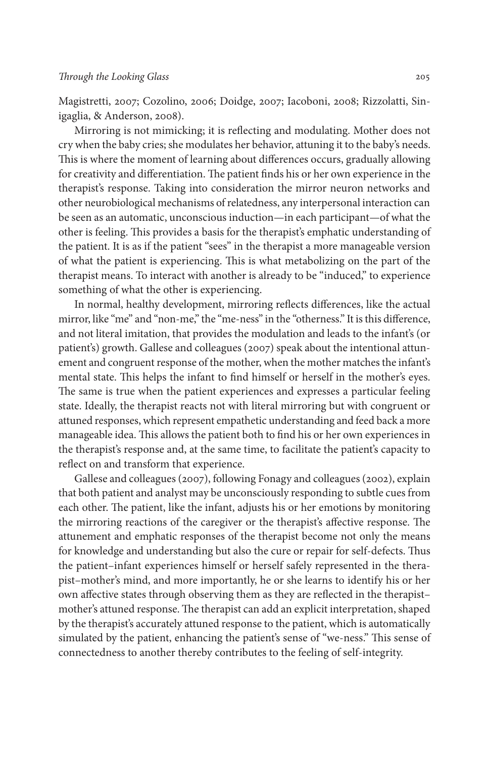Magistretti, 2007; Cozolino, 2006; Doidge, 2007; Iacoboni, 2008; Rizzolatti, Sinigaglia, & Anderson, 2008).

Mirroring is not mimicking; it is refecting and modulating. Mother does not cry when the baby cries; she modulates her behavior, attuning it to the baby's needs. This is where the moment of learning about differences occurs, gradually allowing for creativity and differentiation. The patient finds his or her own experience in the therapist's response. Taking into consideration the mirror neuron networks and other neurobiological mechanisms of relatedness, any interpersonal interaction can be seen as an automatic, unconscious induction—in each participant—of what the other is feeling. This provides a basis for the therapist's emphatic understanding of the patient. It is as if the patient "sees" in the therapist a more manageable version of what the patient is experiencing. This is what metabolizing on the part of the therapist means. To interact with another is already to be "induced," to experience something of what the other is experiencing.

In normal, healthy development, mirroring refects diferences, like the actual mirror, like "me" and "non-me," the "me-ness" in the "otherness." It is this diference, and not literal imitation, that provides the modulation and leads to the infant's (or patient's) growth. Gallese and colleagues (2007) speak about the intentional attunement and congruent response of the mother, when the mother matches the infant's mental state. This helps the infant to find himself or herself in the mother's eyes. The same is true when the patient experiences and expresses a particular feeling state. Ideally, the therapist reacts not with literal mirroring but with congruent or attuned responses, which represent empathetic understanding and feed back a more manageable idea. This allows the patient both to find his or her own experiences in the therapist's response and, at the same time, to facilitate the patient's capacity to refect on and transform that experience.

Gallese and colleagues (2007), following Fonagy and colleagues (2002), explain that both patient and analyst may be unconsciously responding to subtle cues from each other. The patient, like the infant, adjusts his or her emotions by monitoring the mirroring reactions of the caregiver or the therapist's affective response. The attunement and emphatic responses of the therapist become not only the means for knowledge and understanding but also the cure or repair for self-defects. Thus the patient–infant experiences himself or herself safely represented in the therapist–mother's mind, and more importantly, he or she learns to identify his or her own afective states through observing them as they are refected in the therapist– mother's attuned response. The therapist can add an explicit interpretation, shaped by the therapist's accurately attuned response to the patient, which is automatically simulated by the patient, enhancing the patient's sense of "we-ness." This sense of connectedness to another thereby contributes to the feeling of self-integrity.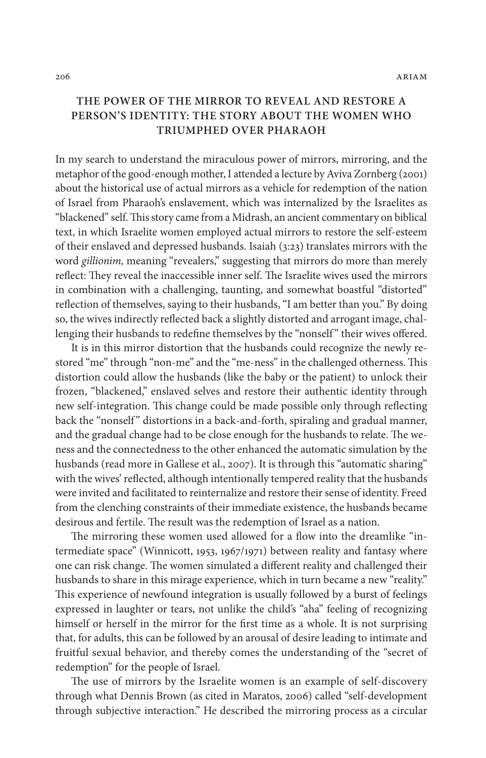# **THE POWER OF THE MIRROR TO REVEAL AND RESTORE A PERSON'S IDENTITY: THE STORY ABOUT THE WOMEN WHO TRIUMPHED OVER PHARAOH**

In my search to understand the miraculous power of mirrors, mirroring, and the metaphor of the good-enough mother, I attended a lecture by Aviva Zornberg (2001) about the historical use of actual mirrors as a vehicle for redemption of the nation of Israel from Pharaoh's enslavement, which was internalized by the Israelites as "blackened" self. This story came from a Midrash, an ancient commentary on biblical text, in which Israelite women employed actual mirrors to restore the self-esteem of their enslaved and depressed husbands. Isaiah (3:23) translates mirrors with the word *gillionim,* meaning "revealers," suggesting that mirrors do more than merely reflect: They reveal the inaccessible inner self. The Israelite wives used the mirrors in combination with a challenging, taunting, and somewhat boastful "distorted" refection of themselves, saying to their husbands, "I am better than you." By doing so, the wives indirectly refected back a slightly distorted and arrogant image, challenging their husbands to redefine themselves by the "nonself" their wives offered.

It is in this mirror distortion that the husbands could recognize the newly restored "me" through "non-me" and the "me-ness" in the challenged otherness. This distortion could allow the husbands (like the baby or the patient) to unlock their frozen, "blackened," enslaved selves and restore their authentic identity through new self-integration. This change could be made possible only through reflecting back the "nonself" distortions in a back-and-forth, spiraling and gradual manner, and the gradual change had to be close enough for the husbands to relate. The weness and the connectedness to the other enhanced the automatic simulation by the husbands (read more in Gallese et al., 2007). It is through this "automatic sharing" with the wives' refected, although intentionally tempered reality that the husbands were invited and facilitated to reinternalize and restore their sense of identity. Freed from the clenching constraints of their immediate existence, the husbands became desirous and fertile. The result was the redemption of Israel as a nation.

The mirroring these women used allowed for a flow into the dreamlike "intermediate space" (Winnicott, 1953, 1967/1971) between reality and fantasy where one can risk change. The women simulated a different reality and challenged their husbands to share in this mirage experience, which in turn became a new "reality." This experience of newfound integration is usually followed by a burst of feelings expressed in laughter or tears, not unlike the child's "aha" feeling of recognizing himself or herself in the mirror for the frst time as a whole. It is not surprising that, for adults, this can be followed by an arousal of desire leading to intimate and fruitful sexual behavior, and thereby comes the understanding of the "secret of redemption" for the people of Israel.

The use of mirrors by the Israelite women is an example of self-discovery through what Dennis Brown (as cited in Maratos, 2006) called "self-development through subjective interaction." He described the mirroring process as a circular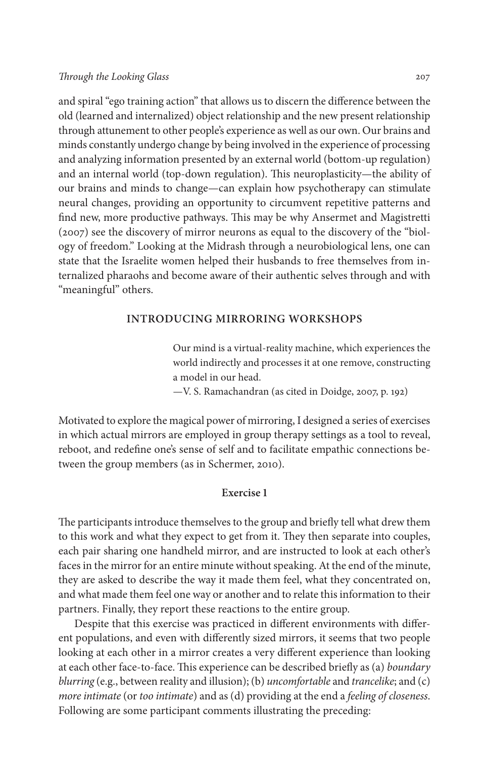and spiral "ego training action" that allows us to discern the diference between the old (learned and internalized) object relationship and the new present relationship through attunement to other people's experience as well as our own. Our brains and minds constantly undergo change by being involved in the experience of processing and analyzing information presented by an external world (bottom-up regulation) and an internal world (top-down regulation). This neuroplasticity—the ability of our brains and minds to change—can explain how psychotherapy can stimulate neural changes, providing an opportunity to circumvent repetitive patterns and find new, more productive pathways. This may be why Ansermet and Magistretti (2007) see the discovery of mirror neurons as equal to the discovery of the "biology of freedom." Looking at the Midrash through a neurobiological lens, one can state that the Israelite women helped their husbands to free themselves from internalized pharaohs and become aware of their authentic selves through and with "meaningful" others.

#### **INTRODUCING MIRRORING WORKSHOPS**

Our mind is a virtual-reality machine, which experiences the world indirectly and processes it at one remove, constructing a model in our head.

—V. S. Ramachandran (as cited in Doidge, 2007, p. 192)

Motivated to explore the magical power of mirroring, I designed a series of exercises in which actual mirrors are employed in group therapy settings as a tool to reveal, reboot, and redefne one's sense of self and to facilitate empathic connections between the group members (as in Schermer, 2010).

## **Exercise 1**

The participants introduce themselves to the group and briefly tell what drew them to this work and what they expect to get from it. They then separate into couples, each pair sharing one handheld mirror, and are instructed to look at each other's faces in the mirror for an entire minute without speaking. At the end of the minute, they are asked to describe the way it made them feel, what they concentrated on, and what made them feel one way or another and to relate this information to their partners. Finally, they report these reactions to the entire group.

Despite that this exercise was practiced in diferent environments with diferent populations, and even with diferently sized mirrors, it seems that two people looking at each other in a mirror creates a very diferent experience than looking at each other face-to-face. This experience can be described briefly as (a) *boundary blurring* (e.g., between reality and illusion); (b) *uncomfortable* and *trancelike*; and (c) *more intimate* (or *too intimate*) and as (d) providing at the end a *feeling of closeness*. Following are some participant comments illustrating the preceding: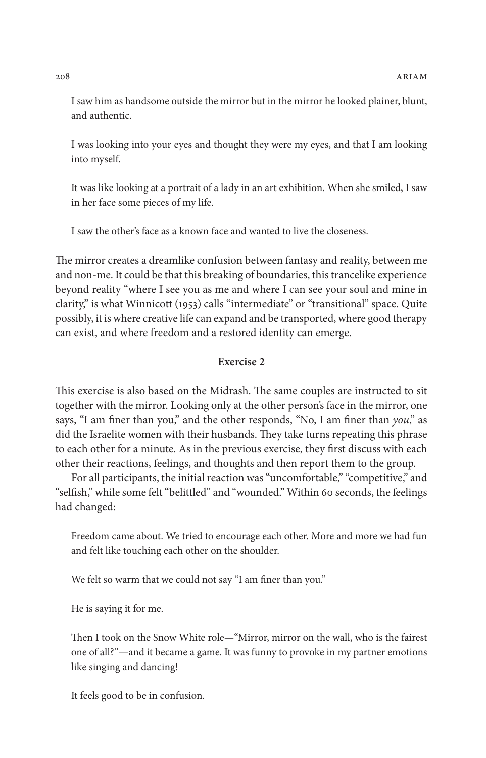I saw him as handsome outside the mirror but in the mirror he looked plainer, blunt, and authentic.

I was looking into your eyes and thought they were my eyes, and that I am looking into myself.

It was like looking at a portrait of a lady in an art exhibition. When she smiled, I saw in her face some pieces of my life.

I saw the other's face as a known face and wanted to live the closeness.

The mirror creates a dreamlike confusion between fantasy and reality, between me and non-me. It could be that this breaking of boundaries, this trancelike experience beyond reality "where I see you as me and where I can see your soul and mine in clarity," is what Winnicott (1953) calls "intermediate" or "transitional" space. Quite possibly, it is where creative life can expand and be transported, where good therapy can exist, and where freedom and a restored identity can emerge.

## **Exercise 2**

This exercise is also based on the Midrash. The same couples are instructed to sit together with the mirror. Looking only at the other person's face in the mirror, one says, "I am fner than you," and the other responds, "No, I am fner than *you*," as did the Israelite women with their husbands. They take turns repeating this phrase to each other for a minute. As in the previous exercise, they frst discuss with each other their reactions, feelings, and thoughts and then report them to the group.

For all participants, the initial reaction was "uncomfortable," "competitive," and "selfsh," while some felt "belittled" and "wounded." Within 60 seconds, the feelings had changed:

Freedom came about. We tried to encourage each other. More and more we had fun and felt like touching each other on the shoulder.

We felt so warm that we could not say "I am fner than you."

He is saying it for me.

Then I took on the Snow White role—"Mirror, mirror on the wall, who is the fairest one of all?"—and it became a game. It was funny to provoke in my partner emotions like singing and dancing!

It feels good to be in confusion.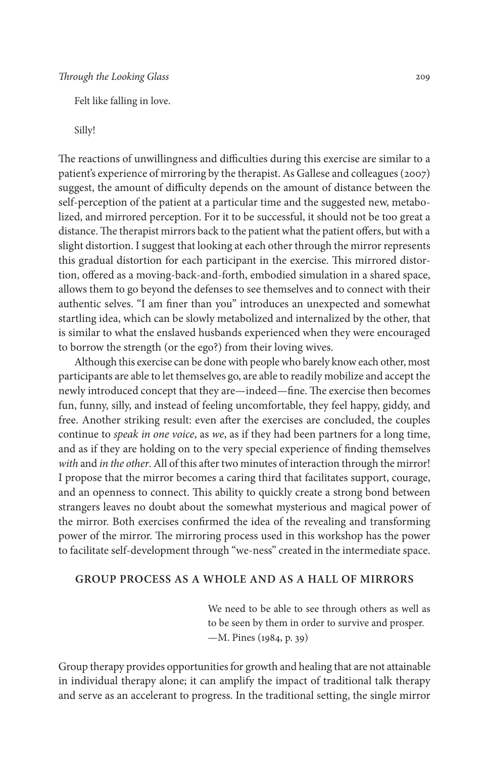Felt like falling in love.

Silly!

The reactions of unwillingness and difficulties during this exercise are similar to a patient's experience of mirroring by the therapist. As Gallese and colleagues (2007) suggest, the amount of difficulty depends on the amount of distance between the self-perception of the patient at a particular time and the suggested new, metabolized, and mirrored perception. For it to be successful, it should not be too great a distance. The therapist mirrors back to the patient what the patient offers, but with a slight distortion. I suggest that looking at each other through the mirror represents this gradual distortion for each participant in the exercise. This mirrored distortion, ofered as a moving-back-and-forth, embodied simulation in a shared space, allows them to go beyond the defenses to see themselves and to connect with their authentic selves. "I am fner than you" introduces an unexpected and somewhat startling idea, which can be slowly metabolized and internalized by the other, that is similar to what the enslaved husbands experienced when they were encouraged to borrow the strength (or the ego?) from their loving wives.

Although this exercise can be done with people who barely know each other, most participants are able to let themselves go, are able to readily mobilize and accept the newly introduced concept that they are—indeed—fine. The exercise then becomes fun, funny, silly, and instead of feeling uncomfortable, they feel happy, giddy, and free. Another striking result: even after the exercises are concluded, the couples continue to *speak in one voice*, as *we*, as if they had been partners for a long time, and as if they are holding on to the very special experience of fnding themselves with and *in the other*. All of this after two minutes of interaction through the mirror! I propose that the mirror becomes a caring third that facilitates support, courage, and an openness to connect. This ability to quickly create a strong bond between strangers leaves no doubt about the somewhat mysterious and magical power of the mirror. Both exercises confrmed the idea of the revealing and transforming power of the mirror. The mirroring process used in this workshop has the power to facilitate self-development through "we-ness" created in the intermediate space.

#### **GROUP PROCESS AS A WHOLE AND AS A HALL OF MIRRORS**

We need to be able to see through others as well as to be seen by them in order to survive and prosper. —M. Pines (1984, p. 39)

Group therapy provides opportunities for growth and healing that are not attainable in individual therapy alone; it can amplify the impact of traditional talk therapy and serve as an accelerant to progress. In the traditional setting, the single mirror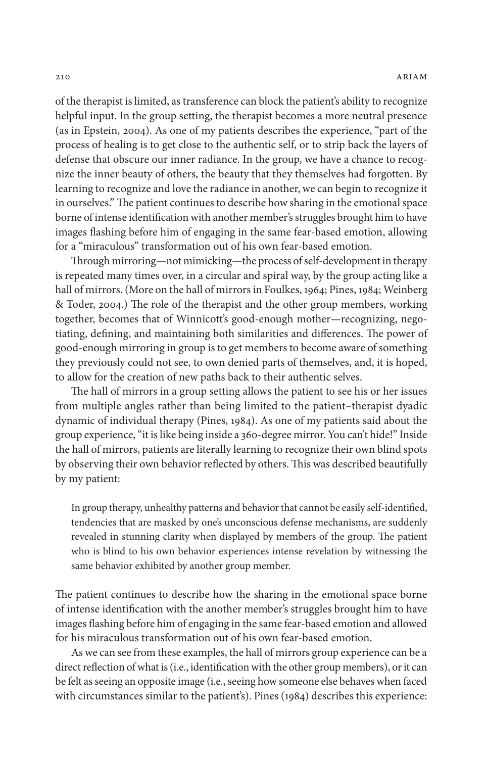of the therapist is limited, as transference can block the patient's ability to recognize helpful input. In the group setting, the therapist becomes a more neutral presence (as in Epstein, 2004). As one of my patients describes the experience, "part of the process of healing is to get close to the authentic self, or to strip back the layers of defense that obscure our inner radiance. In the group, we have a chance to recognize the inner beauty of others, the beauty that they themselves had forgotten. By learning to recognize and love the radiance in another, we can begin to recognize it in ourselves." The patient continues to describe how sharing in the emotional space borne of intense identifcation with another member's struggles brought him to have images fashing before him of engaging in the same fear-based emotion, allowing for a "miraculous" transformation out of his own fear-based emotion.

Through mirroring—not mimicking—the process of self-development in therapy is repeated many times over, in a circular and spiral way, by the group acting like a hall of mirrors. (More on the hall of mirrors in Foulkes, 1964; Pines, 1984; Weinberg & Toder, 2004.) The role of the therapist and the other group members, working together, becomes that of Winnicott's good-enough mother—recognizing, negotiating, defining, and maintaining both similarities and differences. The power of good-enough mirroring in group is to get members to become aware of something they previously could not see, to own denied parts of themselves, and, it is hoped, to allow for the creation of new paths back to their authentic selves.

The hall of mirrors in a group setting allows the patient to see his or her issues from multiple angles rather than being limited to the patient–therapist dyadic dynamic of individual therapy (Pines, 1984). As one of my patients said about the group experience, "it is like being inside a 360-degree mirror. You can't hide!" Inside the hall of mirrors, patients are literally learning to recognize their own blind spots by observing their own behavior reflected by others. This was described beautifully by my patient:

In group therapy, unhealthy patterns and behavior that cannot be easily self-identifed, tendencies that are masked by one's unconscious defense mechanisms, are suddenly revealed in stunning clarity when displayed by members of the group. The patient who is blind to his own behavior experiences intense revelation by witnessing the same behavior exhibited by another group member.

The patient continues to describe how the sharing in the emotional space borne of intense identifcation with the another member's struggles brought him to have images fashing before him of engaging in the same fear-based emotion and allowed for his miraculous transformation out of his own fear-based emotion.

As we can see from these examples, the hall of mirrors group experience can be a direct refection of what is (i.e., identifcation with the other group members), or it can be felt as seeing an opposite image (i.e., seeing how someone else behaves when faced with circumstances similar to the patient's). Pines (1984) describes this experience: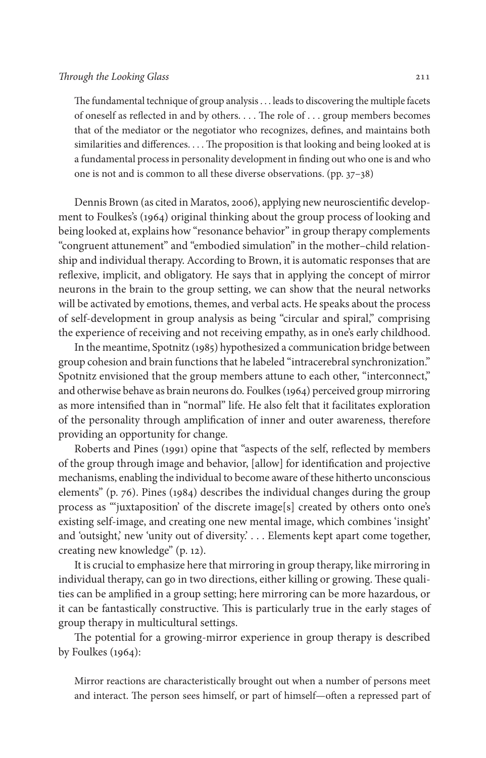The fundamental technique of group analysis . . . leads to discovering the multiple facets of oneself as reflected in and by others. . . . The role of . . . group members becomes that of the mediator or the negotiator who recognizes, defnes, and maintains both similarities and differences. . . . The proposition is that looking and being looked at is a fundamental process in personality development in fnding out who one is and who one is not and is common to all these diverse observations. (pp. 37–38)

Dennis Brown (as cited in Maratos, 2006), applying new neuroscientifc development to Foulkes's (1964) original thinking about the group process of looking and being looked at, explains how "resonance behavior" in group therapy complements "congruent attunement" and "embodied simulation" in the mother–child relationship and individual therapy. According to Brown, it is automatic responses that are refexive, implicit, and obligatory. He says that in applying the concept of mirror neurons in the brain to the group setting, we can show that the neural networks will be activated by emotions, themes, and verbal acts. He speaks about the process of self-development in group analysis as being "circular and spiral," comprising the experience of receiving and not receiving empathy, as in one's early childhood.

In the meantime, Spotnitz (1985) hypothesized a communication bridge between group cohesion and brain functions that he labeled "intracerebral synchronization." Spotnitz envisioned that the group members attune to each other, "interconnect," and otherwise behave as brain neurons do. Foulkes (1964) perceived group mirroring as more intensifed than in "normal" life. He also felt that it facilitates exploration of the personality through amplifcation of inner and outer awareness, therefore providing an opportunity for change.

Roberts and Pines (1991) opine that "aspects of the self, refected by members of the group through image and behavior, [allow] for identifcation and projective mechanisms, enabling the individual to become aware of these hitherto unconscious elements" (p. 76). Pines (1984) describes the individual changes during the group process as "'juxtaposition' of the discrete image[s] created by others onto one's existing self-image, and creating one new mental image, which combines 'insight' and 'outsight,' new 'unity out of diversity.' . . . Elements kept apart come together, creating new knowledge" (p. 12).

It is crucial to emphasize here that mirroring in group therapy, like mirroring in individual therapy, can go in two directions, either killing or growing. These qualities can be amplifed in a group setting; here mirroring can be more hazardous, or it can be fantastically constructive. This is particularly true in the early stages of group therapy in multicultural settings.

The potential for a growing-mirror experience in group therapy is described by Foulkes (1964):

Mirror reactions are characteristically brought out when a number of persons meet and interact. The person sees himself, or part of himself—often a repressed part of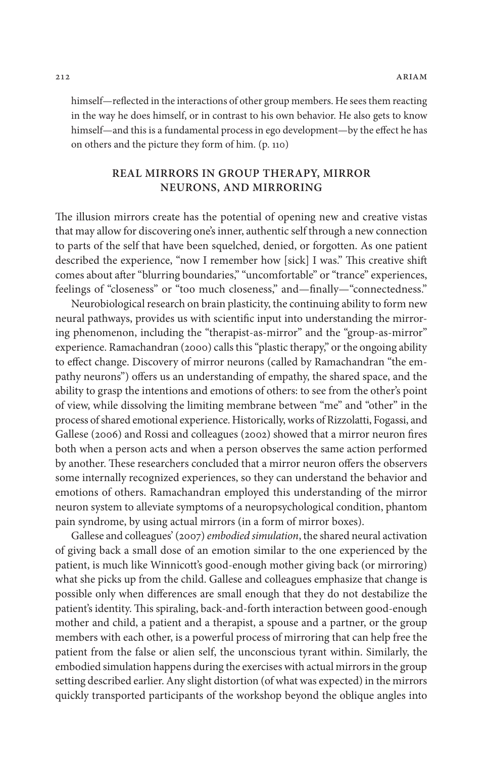himself—reflected in the interactions of other group members. He sees them reacting in the way he does himself, or in contrast to his own behavior. He also gets to know himself—and this is a fundamental process in ego development—by the effect he has on others and the picture they form of him. (p. 110)

## **REAL MIRRORS IN GROUP THERAPY, MIRROR NEURONS, AND MIRRORING**

The illusion mirrors create has the potential of opening new and creative vistas that may allow for discovering one's inner, authentic self through a new connection to parts of the self that have been squelched, denied, or forgotten. As one patient described the experience, "now I remember how [sick] I was." This creative shift comes about afer "blurring boundaries," "uncomfortable" or "trance" experiences, feelings of "closeness" or "too much closeness," and—fnally—"connectedness."

Neurobiological research on brain plasticity, the continuing ability to form new neural pathways, provides us with scientifc input into understanding the mirroring phenomenon, including the "therapist-as-mirror" and the "group-as-mirror" experience. Ramachandran (2000) calls this "plastic therapy," or the ongoing ability to efect change. Discovery of mirror neurons (called by Ramachandran "the empathy neurons") offers us an understanding of empathy, the shared space, and the ability to grasp the intentions and emotions of others: to see from the other's point of view, while dissolving the limiting membrane between "me" and "other" in the process of shared emotional experience. Historically, works of Rizzolatti, Fogassi, and Gallese (2006) and Rossi and colleagues (2002) showed that a mirror neuron fres both when a person acts and when a person observes the same action performed by another. These researchers concluded that a mirror neuron offers the observers some internally recognized experiences, so they can understand the behavior and emotions of others. Ramachandran employed this understanding of the mirror neuron system to alleviate symptoms of a neuropsychological condition, phantom pain syndrome, by using actual mirrors (in a form of mirror boxes).

Gallese and colleagues' (2007) *embodied simulation*, the shared neural activation of giving back a small dose of an emotion similar to the one experienced by the patient, is much like Winnicott's good-enough mother giving back (or mirroring) what she picks up from the child. Gallese and colleagues emphasize that change is possible only when diferences are small enough that they do not destabilize the patient's identity. This spiraling, back-and-forth interaction between good-enough mother and child, a patient and a therapist, a spouse and a partner, or the group members with each other, is a powerful process of mirroring that can help free the patient from the false or alien self, the unconscious tyrant within. Similarly, the embodied simulation happens during the exercises with actual mirrors in the group setting described earlier. Any slight distortion (of what was expected) in the mirrors quickly transported participants of the workshop beyond the oblique angles into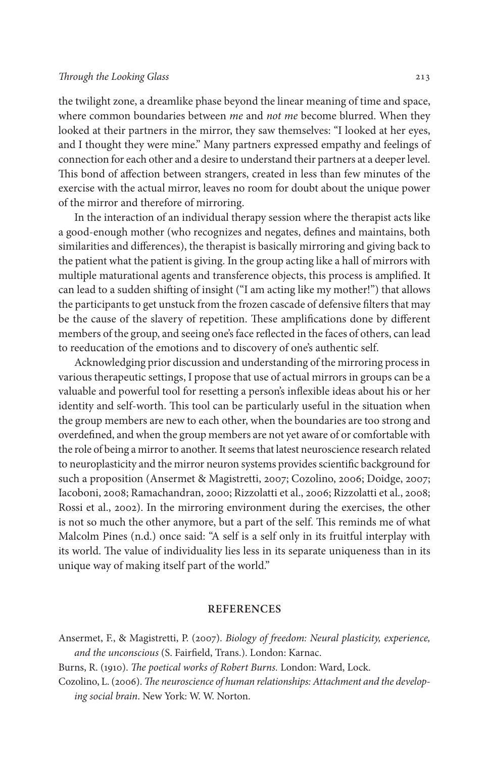#### T*rough the Looking Glass* 213

the twilight zone, a dreamlike phase beyond the linear meaning of time and space, where common boundaries between *me* and *not me* become blurred. When they looked at their partners in the mirror, they saw themselves: "I looked at her eyes, and I thought they were mine." Many partners expressed empathy and feelings of connection for each other and a desire to understand their partners at a deeper level. This bond of affection between strangers, created in less than few minutes of the exercise with the actual mirror, leaves no room for doubt about the unique power of the mirror and therefore of mirroring.

In the interaction of an individual therapy session where the therapist acts like a good-enough mother (who recognizes and negates, defnes and maintains, both similarities and diferences), the therapist is basically mirroring and giving back to the patient what the patient is giving. In the group acting like a hall of mirrors with multiple maturational agents and transference objects, this process is amplifed. It can lead to a sudden shifing of insight ("I am acting like my mother!") that allows the participants to get unstuck from the frozen cascade of defensive flters that may be the cause of the slavery of repetition. These amplifications done by different members of the group, and seeing one's face refected in the faces of others, can lead to reeducation of the emotions and to discovery of one's authentic self.

Acknowledging prior discussion and understanding of the mirroring process in various therapeutic settings, I propose that use of actual mirrors in groups can be a valuable and powerful tool for resetting a person's infexible ideas about his or her identity and self-worth. This tool can be particularly useful in the situation when the group members are new to each other, when the boundaries are too strong and overdefned, and when the group members are not yet aware of or comfortable with the role of being a mirror to another. It seems that latest neuroscience research related to neuroplasticity and the mirror neuron systems provides scientifc background for such a proposition (Ansermet & Magistretti, 2007; Cozolino, 2006; Doidge, 2007; Iacoboni, 2008; Ramachandran, 2000; Rizzolatti et al., 2006; Rizzolatti et al., 2008; Rossi et al., 2002). In the mirroring environment during the exercises, the other is not so much the other anymore, but a part of the self. This reminds me of what Malcolm Pines (n.d.) once said: "A self is a self only in its fruitful interplay with its world. The value of individuality lies less in its separate uniqueness than in its unique way of making itself part of the world."

#### **REFERENCES**

- Ansermet, F., & Magistretti, P. (2007). *Biology of freedom: Neural plasticity, experience, and the unconscious* (S. Fairfeld, Trans.). London: Karnac.
- Burns, R. (1910). T*e poetical works of Robert Burns.* London: Ward, Lock.
- Cozolino, L. (2006). T*e neuroscience of human relationships: Attachment and the developing social brain*. New York: W. W. Norton.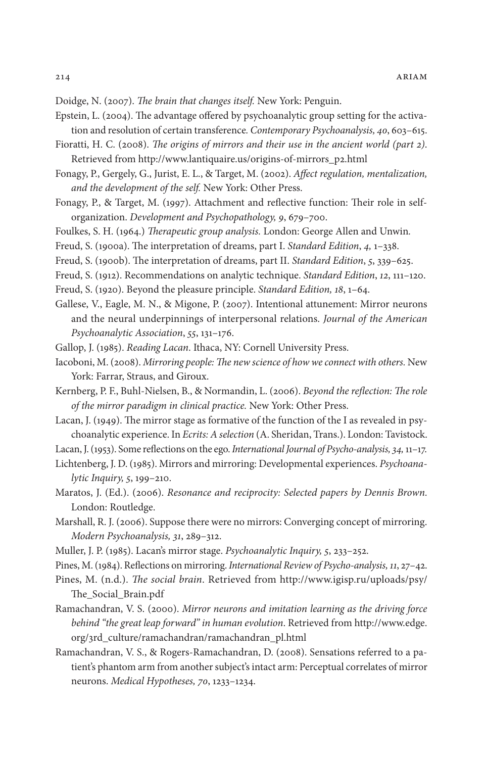- Doidge, N. (2007). T*e brain that changes itself.* New York: Penguin.
- Epstein, L. (2004). The advantage offered by psychoanalytic group setting for the activa-
- tion and resolution of certain transference*. Contemporary Psychoanalysis,* 40, 603–615. Fioratti, H. C. (2008). T*e origins of mirrors and their use in the ancient world (part* 2*)*.
- Retrieved from http://www.lantiquaire.us/origins-of-mirrors\_p2.html
- Fonagy, P., Gergely, G., Jurist, E. L., & Target, M. (2002). *A*f*ect regulation, mentalization, and the development of the self.* New York: Other Press.
- Fonagy, P., & Target, M. (1997). Attachment and reflective function: Their role in selforganization. *Development and Psychopathology,* 9, 679–700.
- Foulkes, S. H. (1964.) T*erapeutic group analysis.* London: George Allen and Unwin*.*
- Freud, S. (1900a). The interpretation of dreams, part I. *Standard Edition*, 4, 1-338.
- Freud, S. (1900b). The interpretation of dreams, part II. *Standard Edition*, 5, 339-625.
- Freud, S. (1912). Recommendations on analytic technique. *Standard Edition*, 12, 111–120.
- Freud, S. (1920). Beyond the pleasure principle. *Standard Edition,* 18, 1–64.
- Gallese, V., Eagle, M. N., & Migone, P. (2007). Intentional attunement: Mirror neurons and the neural underpinnings of interpersonal relations. *Journal of the American Psychoanalytic Association*, 55, 131–176.
- Gallop, J. (1985). *Reading Lacan*. Ithaca, NY: Cornell University Press.
- Iacoboni, M. (2008). *Mirroring people:* T*e new science of how we connect with others.* New York: Farrar, Straus, and Giroux.
- Kernberg, P. F., Buhl-Nielsen, B., & Normandin, L. (2006). *Beyond the reflection: The role of the mirror paradigm in clinical practice.* New York: Other Press.
- Lacan, J. (1949). The mirror stage as formative of the function of the I as revealed in psychoanalytic experience. In *Ecrits: A selection* (A. Sheridan, Trans.). London: Tavistock.

Lacan, J. (1953). Some refections on the ego. *International Journal of Psycho-analysis,* 34*,*11–17.

- Lichtenberg, J. D. (1985). Mirrors and mirroring: Developmental experiences. *Psychoanalytic Inquiry,* 5, 199–210.
- Maratos, J. (Ed.). (2006). *Resonance and reciprocity: Selected papers by Dennis Brown.*  London: Routledge.
- Marshall, R. J. (2006). Suppose there were no mirrors: Converging concept of mirroring. *Modern Psychoanalysis,* 31, 289–312.
- Muller, J. P. (1985). Lacan's mirror stage. *Psychoanalytic Inquiry,* 5, 233–252.
- Pines, M. (1984). Refections on mirroring. *International Review of Psycho-analysis,* 11, 27–42.
- Pines, M. (n.d.). T*e social brain*. Retrieved from http://www.igisp.ru/uploads/psy/ The Social Brain.pdf
- Ramachandran, V. S. (2000). *Mirror neurons and imitation learning as the driving force behind "the great leap forward" in human evolution*. Retrieved from http://www.edge. org/3rd\_culture/ramachandran/ramachandran\_pl.html
- Ramachandran, V. S., & Rogers-Ramachandran, D. (2008). Sensations referred to a patient's phantom arm from another subject's intact arm: Perceptual correlates of mirror neurons. *Medical Hypotheses,* 70, 1233–1234.